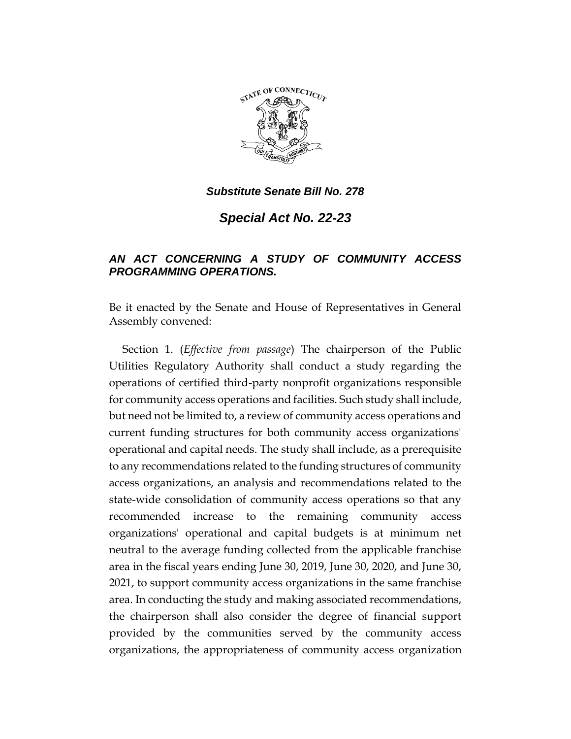

*Substitute Senate Bill No. 278*

*Special Act No. 22-23*

## *AN ACT CONCERNING A STUDY OF COMMUNITY ACCESS PROGRAMMING OPERATIONS.*

Be it enacted by the Senate and House of Representatives in General Assembly convened:

Section 1. (*Effective from passage*) The chairperson of the Public Utilities Regulatory Authority shall conduct a study regarding the operations of certified third-party nonprofit organizations responsible for community access operations and facilities. Such study shall include, but need not be limited to, a review of community access operations and current funding structures for both community access organizations' operational and capital needs. The study shall include, as a prerequisite to any recommendations related to the funding structures of community access organizations, an analysis and recommendations related to the state-wide consolidation of community access operations so that any recommended increase to the remaining community access organizations' operational and capital budgets is at minimum net neutral to the average funding collected from the applicable franchise area in the fiscal years ending June 30, 2019, June 30, 2020, and June 30, 2021, to support community access organizations in the same franchise area. In conducting the study and making associated recommendations, the chairperson shall also consider the degree of financial support provided by the communities served by the community access organizations, the appropriateness of community access organization